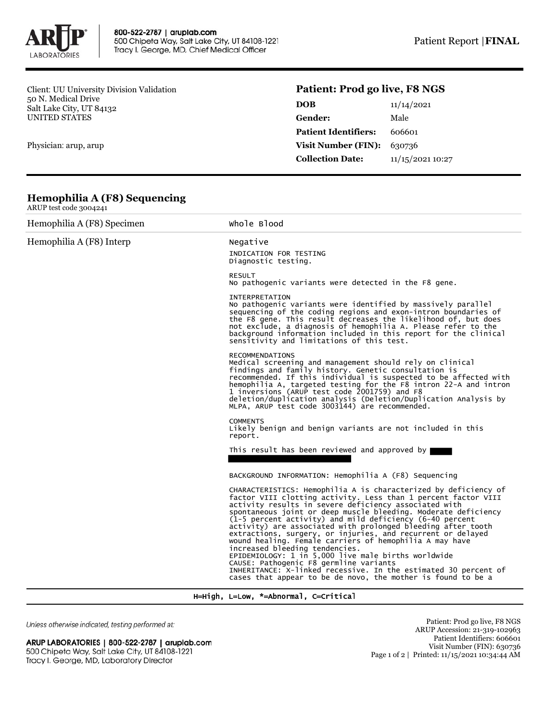

Client: UU University Division Validation 50 N. Medical Drive Salt Lake City, UT 84132 UNITED STATES

Physician: arup, arup

## **Patient: Prod go live, F8 NGS**

| DOB                         | 11/14/2021       |
|-----------------------------|------------------|
| Gender:                     | Male             |
| <b>Patient Identifiers:</b> | 606601           |
| <b>Visit Number (FIN):</b>  | 630736           |
| <b>Collection Date:</b>     | 11/15/2021 10:27 |
|                             |                  |

## **Hemophilia A (F8) Sequencing**

| ARUP test code 3004241     |                                                                                                                                                                                                                                                                                                                                                                                                                                                                                                                                                                                                                                                                                                                                                                                          |  |  |  |
|----------------------------|------------------------------------------------------------------------------------------------------------------------------------------------------------------------------------------------------------------------------------------------------------------------------------------------------------------------------------------------------------------------------------------------------------------------------------------------------------------------------------------------------------------------------------------------------------------------------------------------------------------------------------------------------------------------------------------------------------------------------------------------------------------------------------------|--|--|--|
| Hemophilia A (F8) Specimen | Whole Blood                                                                                                                                                                                                                                                                                                                                                                                                                                                                                                                                                                                                                                                                                                                                                                              |  |  |  |
| Hemophilia A (F8) Interp   | Negative<br>INDICATION FOR TESTING<br>Diagnostic testing.                                                                                                                                                                                                                                                                                                                                                                                                                                                                                                                                                                                                                                                                                                                                |  |  |  |
|                            | <b>RESULT</b><br>No pathogenic variants were detected in the F8 gene.                                                                                                                                                                                                                                                                                                                                                                                                                                                                                                                                                                                                                                                                                                                    |  |  |  |
|                            | INTERPRETATION<br>No pathogenic variants were identified by massively parallel<br>sequencing of the coding regions and exon-intron boundaries of<br>the F8 gene. This result decreases the likelihood of, but does<br>not exclude, a diagnosis of hemophilia A. Please refer to the<br>background information included in this report for the clinical<br>sensitivity and limitations of this test.                                                                                                                                                                                                                                                                                                                                                                                      |  |  |  |
|                            | <b>RECOMMENDATIONS</b><br>Medical screening and management should rely on clinical<br>findings and family history. Genetic consultation is<br>recommended. If this individual is suspected to be affected with<br>hemophilia A, targeted testing for the F8 intron 22-A and intron<br>1 inversions (ARUP test code 2001759) and F8<br>deletion/duplication analysis (Deletion/Duplication Analysis by<br>MLPA, ARUP test code 3003144) are recommended.                                                                                                                                                                                                                                                                                                                                  |  |  |  |
|                            | <b>COMMENTS</b><br>Likely benign and benign variants are not included in this<br>report.                                                                                                                                                                                                                                                                                                                                                                                                                                                                                                                                                                                                                                                                                                 |  |  |  |
|                            | This result has been reviewed and approved by                                                                                                                                                                                                                                                                                                                                                                                                                                                                                                                                                                                                                                                                                                                                            |  |  |  |
|                            | BACKGROUND INFORMATION: Hemophilia A (F8) Sequencing                                                                                                                                                                                                                                                                                                                                                                                                                                                                                                                                                                                                                                                                                                                                     |  |  |  |
|                            | CHARACTERISTICS: Hemophilia A is characterized by deficiency of<br>factor VIII clotting activity. Less than 1 percent factor VIII<br>activity results in severe deficiency associated with<br>spontaneous joint or deep muscle bleeding. Moderate deficiency<br>(1-5 percent activity) and mild deficiency (6-40 percent<br>activity) are associated with prolonged bleeding after tooth<br>extractions, surgery, or injuries, and recurrent or delayed<br>wound healing. Female carriers of hemophilia A may have<br>increased bleeding tendencies.<br>EPIDEMIOLOGY: 1 in 5,000 live male births worldwide<br>CAUSE: Pathogenic F8 germline variants<br>INHERITANCE: X-linked recessive. In the estimated 30 percent of<br>cases that appear to be de novo, the mother is found to be a |  |  |  |

H=High, L=Low, \*=Abnormal, C=Critical

Unless otherwise indicated, testing performed at:

## ARUP LABORATORIES | 800-522-2787 | aruplab.com 500 Chipeta Way, Salt Lake City, UT 84108-1221 Tracy I. George, MD, Laboratory Director

Patient: Prod go live, F8 NGS ARUP Accession: 21-319-102963 Patient Identifiers: 606601 Visit Number (FIN): 630736 Page 1 of 2 | Printed: 11/15/2021 10:34:44 AM